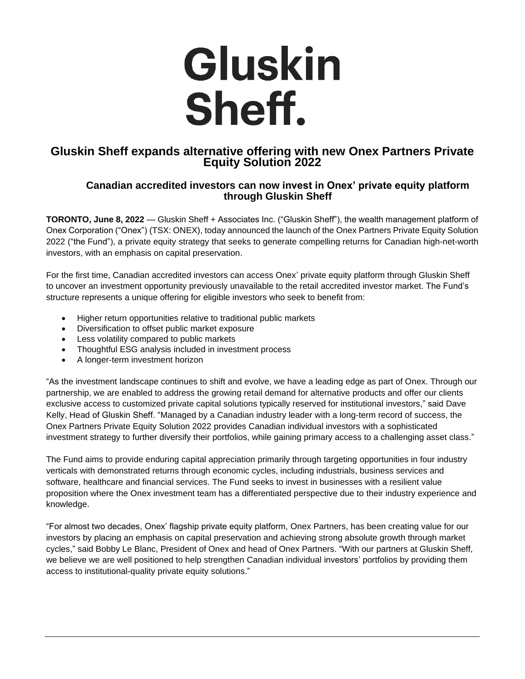

## **Gluskin Sheff expands alternative offering with new Onex Partners Private Equity Solution 2022**

## **Canadian accredited investors can now invest in Onex' private equity platform through Gluskin Sheff**

**TORONTO, June 8, 2022** — Gluskin Sheff + Associates Inc. ("Gluskin Sheff"), the wealth management platform of Onex Corporation ("Onex") (TSX: ONEX), today announced the launch of the Onex Partners Private Equity Solution 2022 ("the Fund"), a private equity strategy that seeks to generate compelling returns for Canadian high-net-worth investors, with an emphasis on capital preservation.

For the first time, Canadian accredited investors can access Onex' private equity platform through Gluskin Sheff to uncover an investment opportunity previously unavailable to the retail accredited investor market. The Fund's structure represents a unique offering for eligible investors who seek to benefit from:

- Higher return opportunities relative to traditional public markets
- Diversification to offset public market exposure
- Less volatility compared to public markets
- Thoughtful ESG analysis included in investment process
- A longer-term investment horizon

"As the investment landscape continues to shift and evolve, we have a leading edge as part of Onex. Through our partnership, we are enabled to address the growing retail demand for alternative products and offer our clients exclusive access to customized private capital solutions typically reserved for institutional investors," said Dave Kelly, Head of Gluskin Sheff. "Managed by a Canadian industry leader with a long-term record of success, the Onex Partners Private Equity Solution 2022 provides Canadian individual investors with a sophisticated investment strategy to further diversify their portfolios, while gaining primary access to a challenging asset class."

The Fund aims to provide enduring capital appreciation primarily through targeting opportunities in four industry verticals with demonstrated returns through economic cycles, including industrials, business services and software, healthcare and financial services. The Fund seeks to invest in businesses with a resilient value proposition where the Onex investment team has a differentiated perspective due to their industry experience and knowledge.

"For almost two decades, Onex' flagship private equity platform, Onex Partners, has been creating value for our investors by placing an emphasis on capital preservation and achieving strong absolute growth through market cycles," said Bobby Le Blanc, President of Onex and head of Onex Partners. "With our partners at Gluskin Sheff, we believe we are well positioned to help strengthen Canadian individual investors' portfolios by providing them access to institutional-quality private equity solutions."